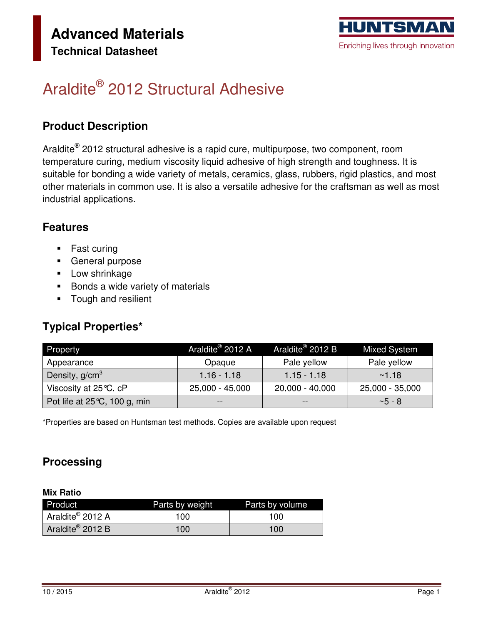

# Araldite<sup>®</sup> 2012 Structural Adhesive

### **Product Description**

Araldite® 2012 structural adhesive is a rapid cure, multipurpose, two component, room temperature curing, medium viscosity liquid adhesive of high strength and toughness. It is suitable for bonding a wide variety of metals, ceramics, glass, rubbers, rigid plastics, and most other materials in common use. It is also a versatile adhesive for the craftsman as well as most industrial applications.

### **Features**

- Fast curing
- **General purpose**
- **Low shrinkage**
- **Bonds a wide variety of materials**
- **Tough and resilient**

### **Typical Properties\***

| Property                               | Araldite <sup>®</sup> 2012 A | Araldite <sup>®</sup> 2012 B | <b>Mixed System</b> |
|----------------------------------------|------------------------------|------------------------------|---------------------|
| Appearance                             | Opaque                       | Pale yellow                  | Pale yellow         |
| Density, g/cm <sup>3</sup>             | $1.16 - 1.18$                | $1.15 - 1.18$                | ~1.18               |
| Viscosity at $25^{\circ}C$ , cP        | 25,000 - 45,000              | $20,000 - 40,000$            | 25,000 - 35,000     |
| Pot life at $25^{\circ}$ C, 100 g, min |                              | --                           | $~5 - 8$            |

\*Properties are based on Huntsman test methods. Copies are available upon request

### **Processing**

#### **Mix Ratio**

| Product                      | Parts by weight | Parts by volume |
|------------------------------|-----------------|-----------------|
| Araldite® 2012 A             | 100             | 100             |
| Araldite <sup>®</sup> 2012 B | 100             | 100             |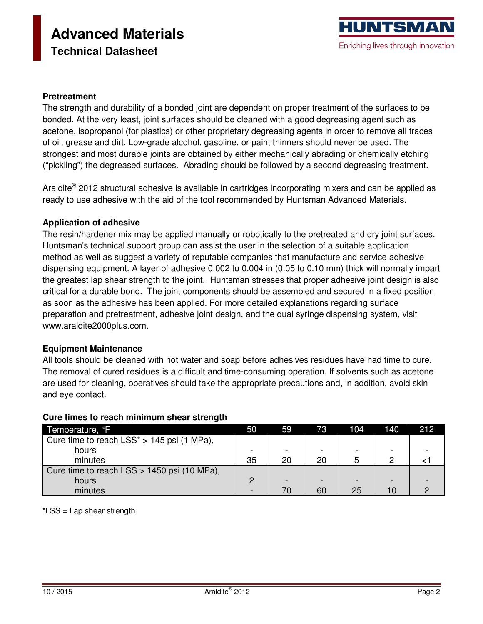# **Advanced Materials Technical Datasheet**

#### **Pretreatment**

The strength and durability of a bonded joint are dependent on proper treatment of the surfaces to be bonded. At the very least, joint surfaces should be cleaned with a good degreasing agent such as acetone, isopropanol (for plastics) or other proprietary degreasing agents in order to remove all traces of oil, grease and dirt. Low-grade alcohol, gasoline, or paint thinners should never be used. The strongest and most durable joints are obtained by either mechanically abrading or chemically etching ("pickling") the degreased surfaces. Abrading should be followed by a second degreasing treatment.

Araldite® 2012 structural adhesive is available in cartridges incorporating mixers and can be applied as ready to use adhesive with the aid of the tool recommended by Huntsman Advanced Materials.

#### **Application of adhesive**

The resin/hardener mix may be applied manually or robotically to the pretreated and dry joint surfaces. Huntsman's technical support group can assist the user in the selection of a suitable application method as well as suggest a variety of reputable companies that manufacture and service adhesive dispensing equipment. A layer of adhesive 0.002 to 0.004 in (0.05 to 0.10 mm) thick will normally impart the greatest lap shear strength to the joint. Huntsman stresses that proper adhesive joint design is also critical for a durable bond. The joint components should be assembled and secured in a fixed position as soon as the adhesive has been applied. For more detailed explanations regarding surface preparation and pretreatment, adhesive joint design, and the dual syringe dispensing system, visit www.araldite2000plus.com.

#### **Equipment Maintenance**

All tools should be cleaned with hot water and soap before adhesives residues have had time to cure. The removal of cured residues is a difficult and time-consuming operation. If solvents such as acetone are used for cleaning, operatives should take the appropriate precautions and, in addition, avoid skin and eye contact.

| Temperature, <sup>o</sup> F                   | 50 | '59' | 73 | 104 | 140 | 212 |
|-----------------------------------------------|----|------|----|-----|-----|-----|
| Cure time to reach $LSS^* > 145$ psi (1 MPa), |    |      |    |     |     |     |
| hours                                         |    |      |    |     |     |     |
| minutes                                       | 35 | 20   | 20 |     |     |     |
| Cure time to reach LSS > 1450 psi (10 MPa),   |    |      |    |     |     |     |
| hours                                         |    |      |    |     |     |     |
| minutes                                       |    | 70   | 60 | 25  | 10  |     |

#### **Cure times to reach minimum shear strength**

\*LSS = Lap shear strength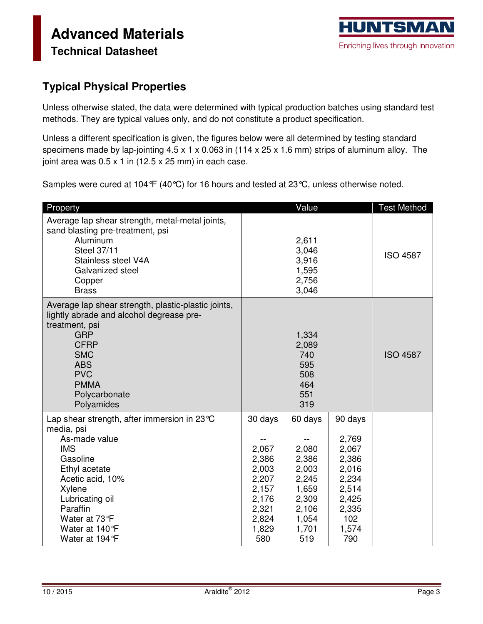### **Typical Physical Properties**

Unless otherwise stated, the data were determined with typical production batches using standard test methods. They are typical values only, and do not constitute a product specification.

Unless a different specification is given, the figures below were all determined by testing standard specimens made by lap-jointing 4.5 x 1 x 0.063 in (114 x 25 x 1.6 mm) strips of aluminum alloy. The joint area was  $0.5 \times 1$  in (12.5  $\times$  25 mm) in each case.

Samples were cured at 104°F (40°C) for 16 hours and tested at 23°C, unless otherwise noted.

| Property                                                                                                                                                                                                                                           |                                                                                                 | Value                                                                                           |                                                                                                        | <b>Test Method</b> |
|----------------------------------------------------------------------------------------------------------------------------------------------------------------------------------------------------------------------------------------------------|-------------------------------------------------------------------------------------------------|-------------------------------------------------------------------------------------------------|--------------------------------------------------------------------------------------------------------|--------------------|
| Average lap shear strength, metal-metal joints,<br>sand blasting pre-treatment, psi<br>Aluminum<br>Steel 37/11<br>Stainless steel V4A<br>Galvanized steel<br>Copper<br><b>Brass</b>                                                                |                                                                                                 | 2,611<br>3,046<br>3,916<br>1,595<br>2,756<br>3,046                                              |                                                                                                        | <b>ISO 4587</b>    |
| Average lap shear strength, plastic-plastic joints,<br>lightly abrade and alcohol degrease pre-<br>treatment, psi<br><b>GRP</b><br><b>CFRP</b><br><b>SMC</b><br><b>ABS</b><br><b>PVC</b><br><b>PMMA</b><br>Polycarbonate<br>Polyamides             |                                                                                                 | 1,334<br>2,089<br>740<br>595<br>508<br>464<br>551<br>319                                        |                                                                                                        | <b>ISO 4587</b>    |
| Lap shear strength, after immersion in $23^{\circ}$ C<br>media, psi<br>As-made value<br><b>IMS</b><br>Gasoline<br>Ethyl acetate<br>Acetic acid, 10%<br>Xylene<br>Lubricating oil<br>Paraffin<br>Water at 73 °F<br>Water at 140°F<br>Water at 194 F | 30 days<br>2,067<br>2,386<br>2,003<br>2,207<br>2,157<br>2,176<br>2,321<br>2,824<br>1,829<br>580 | 60 days<br>2,080<br>2,386<br>2,003<br>2,245<br>1,659<br>2,309<br>2,106<br>1,054<br>1,701<br>519 | 90 days<br>2,769<br>2,067<br>2,386<br>2,016<br>2,234<br>2,514<br>2,425<br>2,335<br>102<br>1,574<br>790 |                    |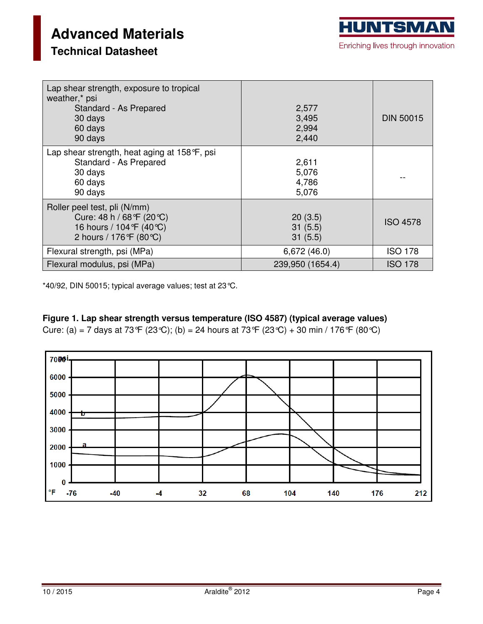| Lap shear strength, exposure to tropical<br>weather,* psi<br>Standard - As Prepared<br>30 days<br>60 days<br>90 days | 2,577<br>3,495<br>2,994<br>2,440 | <b>DIN 50015</b> |
|----------------------------------------------------------------------------------------------------------------------|----------------------------------|------------------|
| Lap shear strength, heat aging at $158^{\circ}F$ , psi<br>Standard - As Prepared<br>30 days<br>60 days<br>90 days    | 2,611<br>5,076<br>4,786<br>5,076 |                  |
| Roller peel test, pli (N/mm)<br>Cure: 48 h / 68°F (20°C)<br>16 hours / 104 °F (40 °C)<br>2 hours / 176 °F (80 °C)    | 20(3.5)<br>31(5.5)<br>31(5.5)    | <b>ISO 4578</b>  |
| Flexural strength, psi (MPa)                                                                                         | 6,672(46.0)                      | <b>ISO 178</b>   |
| Flexural modulus, psi (MPa)                                                                                          | 239,950 (1654.4)                 | <b>ISO 178</b>   |

\*40/92, DIN 50015; typical average values; test at 23°C.

### **Figure 1. Lap shear strength versus temperature (ISO 4587) (typical average values)**

Cure: (a) = 7 days at 73°F (23°C); (b) = 24 hours at 73°F (23°C) + 30 min / 176°F (80°C)

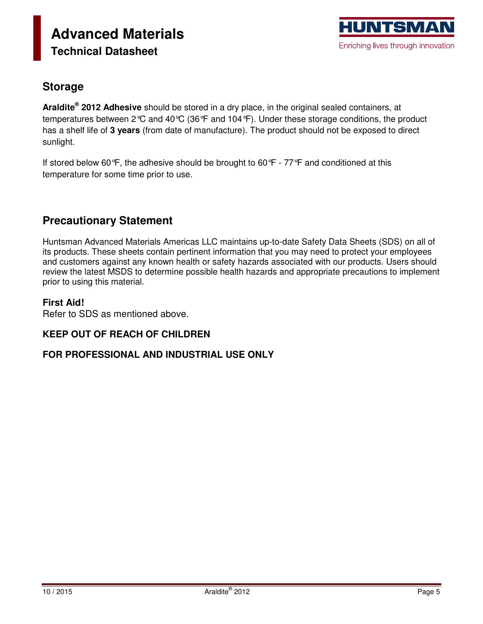### **Storage**

**Araldite® 2012 Adhesive** should be stored in a dry place, in the original sealed containers, at temperatures between 2°C and 40°C (36°F and 104°F). Under these storage conditions, the product has a shelf life of **3 years** (from date of manufacture). The product should not be exposed to direct sunlight.

If stored below 60°F, the adhesive should be brought to 60°F - 77°F and conditioned at this temperature for some time prior to use.

### **Precautionary Statement**

Huntsman Advanced Materials Americas LLC maintains up-to-date Safety Data Sheets (SDS) on all of its products. These sheets contain pertinent information that you may need to protect your employees and customers against any known health or safety hazards associated with our products. Users should review the latest MSDS to determine possible health hazards and appropriate precautions to implement prior to using this material.

#### **First Aid!**

Refer to SDS as mentioned above.

### **KEEP OUT OF REACH OF CHILDREN**

### **FOR PROFESSIONAL AND INDUSTRIAL USE ONLY**